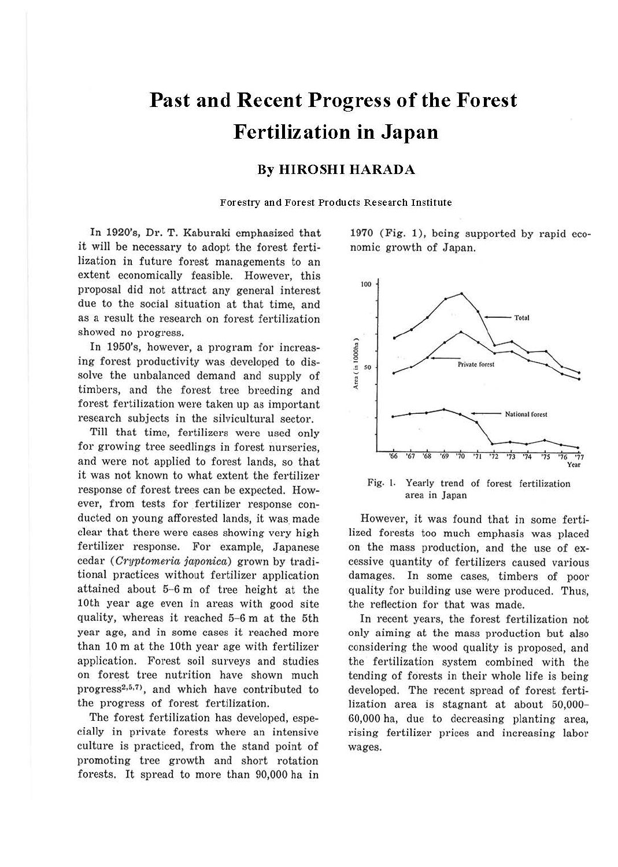# **Past and Recent Progress of the Forest Fertilization in Japan**

#### **By HIROSHI HARADA**

Forestry and Forest Products Research Institute

In 1920's, Dr. T. Kaburaki emphasized that it will be necessary to adopt the forest fertilization in future forest managements to an extent economically feasible. However, this proposal did not attract any general interest due to the social situation at that time, and as a result the research on forest fertilization showed no progress.

In 1950's, however, a program for increasing forest productivity was developed to dissolve the unbalanced demand and supply of timbers, and the forest tree breeding and forest fertilization were taken up as important research subjects in the silvicultural sector.

Till that time, fertilizers were used only for growing tree seedlings in forest nurseries, and were not applied to forest lands, so that it was not known to what extent the fertilizer response of forest trees can be expected. However, from tests for fertilizer response conducted on young afforested lands, it was made clear that there were cases showing very high fertilizer response. For example, Japanese cedar (Cryptomeria japonica) grown by traditional practices without fertilizer application attained about 5-6 m of tree height at the 10th year age even in areas with good site quality, whereas it reached 5-6 m at the 5th year age, and in some cases it reached more than 10 m at the 10th year age with fertilizer application. Forest soil surveys and studies on forest tree nutrition have shown much  $progress<sup>2,5,7</sup>$ , and which have contributed to the progress of forest fertilization.

The forest fertilization has developed, especially in private forests where an intensive culture is practiced, from the stand point of promoting tree growth and short rotation forests. It spread to more than 90,000 ha in 1970 (Fig. 1), being supported by rapid economic growth of Japan.



Fig. J. Yearly trend of forest fertilization area in Japan

However, it was found that in some fertilized forests too much emphasis was placed on the mass production, and the use of excessive quantity of fertilizers caused various damages. In some cases, timbers of poor quality for building use were produced. Thus, the reflection for that was made.

In recent years, the forest fertilization not only aiming at the mass production but also considering the wood quality is proposed, and the fertilization system combined with the tending of forests in their whole life is being developed. The recent spread of forest fertilization area is stagnant at about 50,000- 60,000 ha, due to decreasing planting area, rising fertilizer prices and increasing labor wages.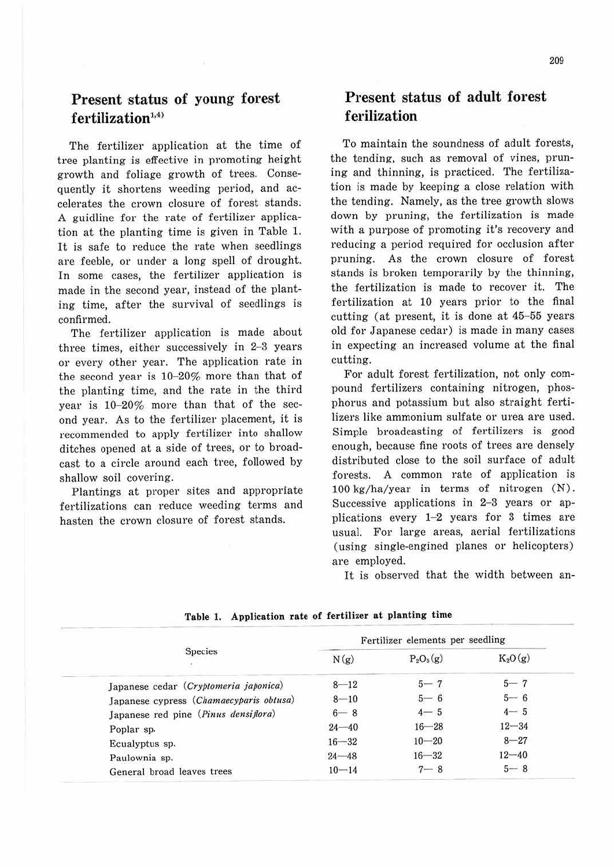## **Present status of young forest** fertilization<sup>1,4)</sup>

The fertilizer application at the time of tree planting is effective in promoting height growth and foliage growth of trees. Consequently it shortens weeding period, and accelerates the crown closure of forest stands. A guidline for the rate of fertilizer application at the planting time is given in Table 1. It is safe to reduce the rate when seedlings are feeble, or under a long spell of drought. In some cases, the fertilizer application is made in the second year, instead of the planting time, after the survival of seedlings is confirmed.

The fertilizer application is made about three times, either successively in 2-3 years or every other year. The application rate in the second year is  $10-20\%$  more than that of the planting time, and the rate in the third year is 10-20% more than that of the second year. As to the fertilizer placement, it is recommended to apply fertilizer into shallow ditches opened at a side of trees, or to broadcast to a circle around each tree, followed by shallow soil covering.

Plantings at proper sites and appropriate fertilizations can reduce weeding terms and hasten the crown closure of forest stands.

### **Present status of adult forest f erilization**

To maintain the soundness of adult forests, the tending, such as removal of vines, pruning and thinning, is practiced. The fertilization is made by keeping a close relation with the tending. Namely, as the tree growth slows down by pruning, the fertilization is made with a purpose of promoting it's recovery and reducing a period required for occlusion after pruning. As the crown closure of forest stands is broken temporarily by the thinning, the fertilization is made to recover it. The fertilization at 10 years prior to the final cutting (at present, it is done at  $45-55$  years old for Japanese cedar) is made in many cases in expecting an increased volume at the final cutting.

For adult forest fertilization, not only compound fertilizers containing nitrogen, phosphorus and potassium but also straight fertilizers like ammonium sulfate or urea are used. Simple broadcasting of fertilizers is good enough, because fine roots of trees are densely distributed close to the soil surface of adult forests. A common rate of application is 100 kg/ha/year in terms of nitrogen (N). Successive applications in 2-3 years or applications every 1-2 years for 3 times are usual. For large areas, aerial fertilizations (using single-engined planes or helicopters) are employed.

It is observed that the width between an-

| <b>Species</b>                          | Fertilizer elements per seedling |             |           |
|-----------------------------------------|----------------------------------|-------------|-----------|
|                                         | N(g)                             | $P_2O_5(g)$ | $K_2O(g)$ |
| Japanese cedar (Cryptomeria japonica)   | $8 - 12$                         | $5 - 7$     | $5 - 7$   |
| Japanese cypress (Chamaecyparis obtusa) | $8 - 10$                         | $5 - 6$     | $5 - 6$   |
| Japanese red pine (Pinus densiflora)    | $6 - 8$                          | $4 - 5$     | $4 - 5$   |
| Poplar sp.                              | $24 - 40$                        | $16 - 28$   | $12 - 34$ |
| Ecualyptus sp.                          | $16 - 32$                        | $10 - 20$   | $8 - 27$  |
| Paulownia sp.                           | $24 - 48$                        | $16 - 32$   | $12 - 40$ |
| General broad leaves trees              | $10 - 14$                        | $7 - 8$     | $5 - 8$   |

**Table 1. Application rate of fertilizer at planting time**